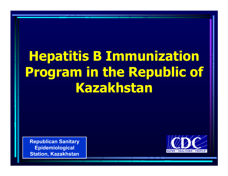# **Hepatitis B Immunization Program in the Republic of Kazakhstan**

**Republican Sanitary Epidemiological Station, Kazakhstan**

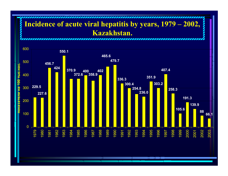### **Incidence of acute viral hepatitis by years, 1979 – 2002, Kazakhstan.**

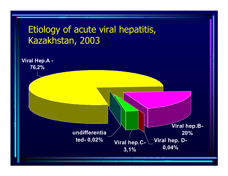### Etiology of acute viral hepatitis, Kazakhstan, 2003

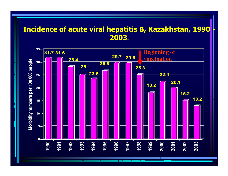#### **Incidence of acute viral hepatitis B, Kazakhstan, 1990 2003.**

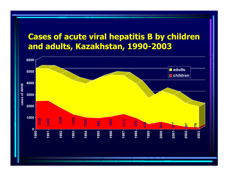#### **Cases of acute viral hepatitis B by children and adults, Kazakhstan, 1990-2003**

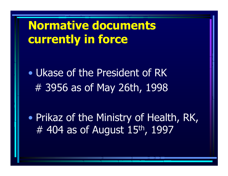## **Normative documents currently in force**

• Ukase of the President of RK # 3956 as of May 26th, 1998

 $\bullet$ • Prikaz of the Ministry of Health, RK, # 404 as of August 15<sup>th</sup>, 1997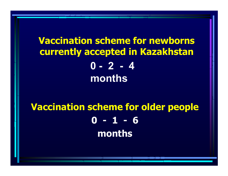**Vaccination scheme for newborns currently accepted in Kazakhstan 0 - 2 -4months**

**Vaccination scheme for older people 0 -1 -6months**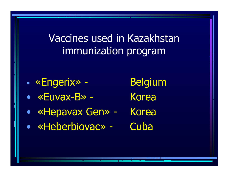Vaccines used in Kazakhstan immunization program

- •«Engerix» -
- «Euvax-B» -
- $\bullet$ «Hepavax Gen» -
- «Heberbiovac» -

Belgium KoreaKorea**Cuba**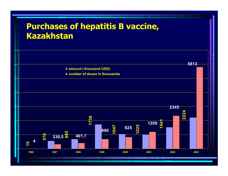#### **Purchases of hepatitis B vaccine, Kazakhstan**

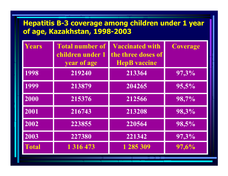#### **Hepatitis B-3 coverage among children under 1 year of age, Kazakhstan, 1998-2003**

| Years        | <b>Total number of</b><br>children under 1<br>year of age | <b>Vaccinated with</b><br>the three doses of<br><b>HepB</b> vaccine | Coverage |
|--------------|-----------------------------------------------------------|---------------------------------------------------------------------|----------|
| 1998         | 219240                                                    | 213364                                                              | 97,3%    |
| 1999         | 213879                                                    | 204265                                                              | $95,5\%$ |
| 2000         | 215376                                                    | 212566                                                              | 98,7%    |
| 2001         | 216743                                                    | 213208                                                              | 98,3%    |
| 2002         | 223855                                                    | 220564                                                              | $98,5\%$ |
| 2003         | 227380                                                    | 221342                                                              | 97,3%    |
| <b>Total</b> | 1 3 1 6 4 7 3                                             | 1 285 309                                                           | 97,6%    |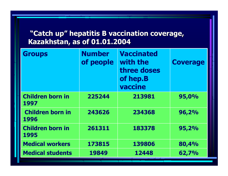#### **"Catch up" hepatitis B vaccination coverage, "Catch up" hepatitis B vaccination coverage, Kazakhstan, as of 01.01.2004 Kazakhstan, as of 01.01.2004**

| <b>Groups</b>                   | <b>Number</b><br>of people | <b>Vaccinated</b><br>with the<br>three doses<br>of hep.B<br>vaccine | <b>Coverage</b> |
|---------------------------------|----------------------------|---------------------------------------------------------------------|-----------------|
| <b>Children born in</b><br>1997 | 225244                     | 213981                                                              | 95,0%           |
| <b>Children born in</b><br>1996 | 243626                     | 234368                                                              | 96,2%           |
| <b>Children born in</b><br>1995 | 261311                     | 183378                                                              | 95,2%           |
| <b>Medical workers</b>          | 173815                     | 139806                                                              | 80,4%           |
| <b>Medical students</b>         | 19849                      | 12448                                                               | 62,7%           |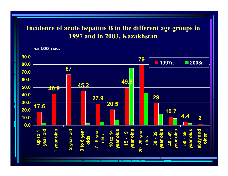#### **Incidence of acute hepatitis B in the different age groups in 1997 and in 2003, Kazakhstan**

**на 100 тыс.**

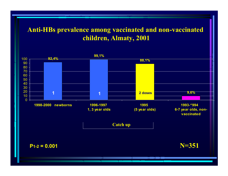#### **Anti-HBs prevalence among vaccinated and non-vaccinated children, Almaty, 2001**



**P1-2**

**N=351**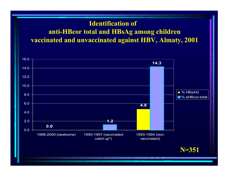#### **Identification of anti-HBcor total and HBsAg among children vaccinated and unvaccinated against HBV, Almaty, 2001**

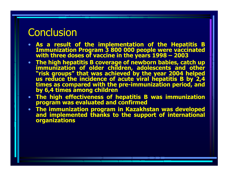### **Conclusion**

- **As a result of the implementation of the Hepatitis B Immunization Program 3 800 000 people were vaccinated with three doses of vaccine in the years 1998 – 2003**
- **The high hepatitis B coverage of newborn babies, catch up immunization of older children, adolescents and other "risk groups"** us reduce the incidence of acute viral hepatitis B by 2,4 **times as compared with the pre-immunization period, and by 6,4 times among children**
- **The high effectiveness of hepatitis B was immunization program was evaluated and confirmed**
- **The immunization program in Kazakhstan was developed and implemented thanks to the support of international organizations**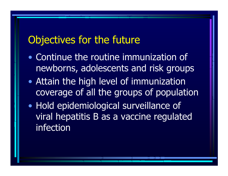### Objectives for the future

- Continue the routine immunization of newborns, adolescents and risk groups
- $\bullet$  Attain the high level of immunization coverage of all the groups of population
- • Hold epidemiological surveillance of viral hepatitis B as a vaccine regulated infection